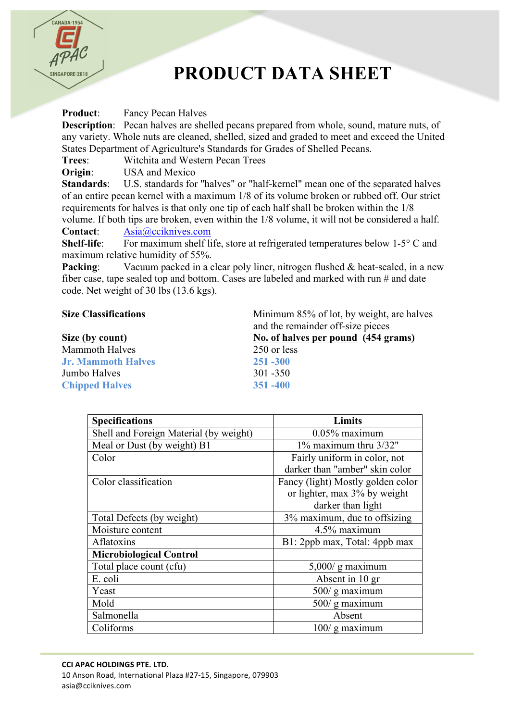

## **PRODUCT DATA SHEET**

**Product:** Fancy Pecan Halves

**Description**: Pecan halves are shelled pecans prepared from whole, sound, mature nuts, of any variety. Whole nuts are cleaned, shelled, sized and graded to meet and exceed the United States Department of Agriculture's Standards for Grades of Shelled Pecans.

**Trees**: Witchita and Western Pecan Trees

**Origin:** USA and Mexico

**Standards**: U.S. standards for "halves" or "half-kernel" mean one of the separated halves of an entire pecan kernel with a maximum 1/8 of its volume broken or rubbed off. Our strict requirements for halves is that only one tip of each half shall be broken within the 1/8

volume. If both tips are broken, even within the 1/8 volume, it will not be considered a half. **Contact**: Asia@cciknives.com

**Shelf-life**: For maximum shelf life, store at refrigerated temperatures below 1-5° C and maximum relative humidity of 55%.

**Packing:** Vacuum packed in a clear poly liner, nitrogen flushed & heat-sealed, in a new fiber case, tape sealed top and bottom. Cases are labeled and marked with run # and date code. Net weight of 30 lbs (13.6 kgs).

## **Size Classifications** Minimum 85% of lot, by weight, are halves

|                           | and the remainder off-size pieces   |  |
|---------------------------|-------------------------------------|--|
| Size (by count)           | No. of halves per pound (454 grams) |  |
| <b>Mammoth Halves</b>     | 250 or less                         |  |
| <b>Jr. Mammoth Halves</b> | $251 - 300$                         |  |
| Jumbo Halves              | $301 - 350$                         |  |
| <b>Chipped Halves</b>     | $351 - 400$                         |  |
|                           |                                     |  |

| <b>Specifications</b>                  | <b>Limits</b>                     |
|----------------------------------------|-----------------------------------|
| Shell and Foreign Material (by weight) | $0.05\%$ maximum                  |
| Meal or Dust (by weight) B1            | 1% maximum thru 3/32"             |
| Color                                  | Fairly uniform in color, not      |
|                                        | darker than "amber" skin color    |
| Color classification                   | Fancy (light) Mostly golden color |
|                                        | or lighter, max 3% by weight      |
|                                        | darker than light                 |
| Total Defects (by weight)              | 3% maximum, due to offsizing      |
| Moisture content                       | 4.5% maximum                      |
| Aflatoxins                             | B1: 2ppb max, Total: 4ppb max     |
| <b>Microbiological Control</b>         |                                   |
| Total place count (cfu)                | $5,000/$ g maximum                |
| E. coli                                | Absent in 10 gr                   |
| Yeast                                  | $500/$ g maximum                  |
| Mold                                   | 500/g maximum                     |
| Salmonella                             | Absent                            |
| Coliforms                              | $100/$ g maximum                  |